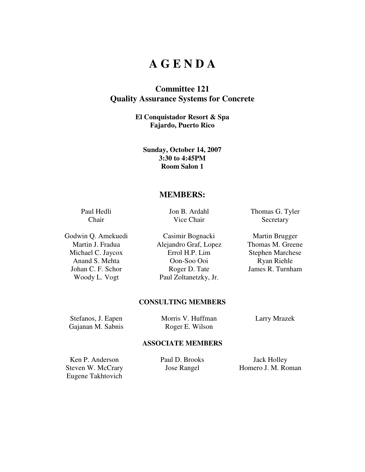## **A G E N D A**

## **Committee 121 Quality Assurance Systems for Concrete**

**El Conquistador Resort & Spa Fajardo, Puerto Rico** 

**Sunday, October 14, 2007 3:30 to 4:45PM Room Salon 1** 

### **MEMBERS:**

Paul Hedli Chair

Jon B. Ardahl Vice Chair

Godwin Q. Amekuedi Casimir Bognacki Martin Brugger Martin J. Fradua Alejandro Graf, Lopez Thomas M. Greene Michael C. Jaycox Errol H.P. Lim Stephen Marchese Anand S. Mehta Oon-Soo Ooi Ryan Riehle Johan C. F. Schor Roger D. Tate James R. Turnham Woody L. Vogt Paul Zoltanetzky, Jr.

Thomas G. Tyler **Secretary** 

#### **CONSULTING MEMBERS**

Stefanos, J. Eapen Morris V. Huffman Larry Mrazek Gajanan M. Sabnis Roger E. Wilson

#### **ASSOCIATE MEMBERS**

Ken P. Anderson Paul D. Brooks Jack Holley Eugene Takhtovich

Steven W. McCrary **Jose Rangel** Homero J. M. Roman